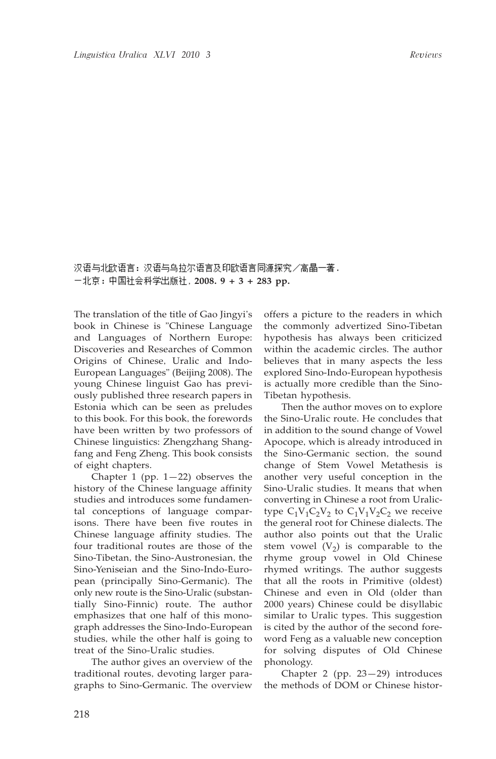汉语与北欧语言:汉语与乌拉尔语言及印欧语言同源探究/高晶一著. , **2008. 9 + 3 + 283 pp.**

The translation of the title of Gao Jingyi's book in Chinese is "Chinese Language and Languages of Northern Europe: Discoveries and Researches of Common Origins of Chinese, Uralic and Indo-European Languages" (Beijing 2008). The young Chinese linguist Gao has previously published three research papers in Estonia which can be seen as preludes to this book. For this book, the forewords have been written by two professors of Chinese linguistics: Zhengzhang Shangfang and Feng Zheng. This book consists of eight chapters.

Chapter 1 (pp.  $1-22$ ) observes the history of the Chinese language affinity studies and introduces some fundamental conceptions of language comparisons. There have been five routes in Chinese language affinity studies. The four traditional routes are those of the Sino-Tibetan, the Sino-Austronesian, the Sino-Yeniseian and the Sino-Indo-European (principally Sino-Germanic). The only new route is the Sino-Uralic (substantially Sino-Finnic) route. The author emphasizes that one half of this monograph addresses the Sino-Indo-European studies, while the other half is going to treat of the Sino-Uralic studies.

The author gives an overview of the traditional routes, devoting larger paragraphs to Sino-Germanic. The overview offers a picture to the readers in which the commonly advertized Sino-Tibetan hypothesis has always been criticized within the academic circles. The author believes that in many aspects the less explored Sino-Indo-European hypothesis is actually more credible than the Sino-Tibetan hypothesis.

Then the author moves on to explore the Sino-Uralic route. He concludes that in addition to the sound change of Vowel Apocope, which is already introduced in the Sino-Germanic section, the sound change of Stem Vowel Metathesis is another very useful conception in the Sino-Uralic studies. It means that when converting in Chinese a root from Uralictype  $C_1V_1C_2V_2$  to  $C_1V_1V_2C_2$  we receive the general root for Chinese dialects. The author also points out that the Uralic stem vowel  $(V_2)$  is comparable to the rhyme group vowel in Old Chinese rhymed writings. The author suggests that all the roots in Primitive (oldest) Chinese and even in Old (older than 2000 years) Chinese could be disyllabic similar to Uralic types. This suggestion is cited by the author of the second foreword Feng as a valuable new conception for solving disputes of Old Chinese phonology.

Chapter 2 (pp. 23—29) introduces the methods of DOM or Chinese histor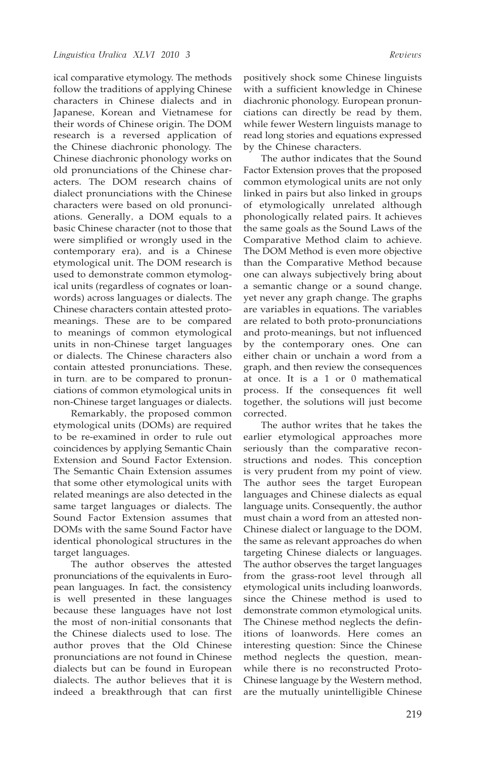ical comparative etymology. The methods follow the traditions of applying Chinese characters in Chinese dialects and in Japanese, Korean and Vietnamese for their words of Chinese origin. The DOM research is a reversed application of the Chinese diachronic phonology. The Chinese diachronic phonology works on old pronunciations of the Chinese characters. The DOM research chains of dialect pronunciations with the Chinese characters were based on old pronunciations. Generally, a DOM equals to a basic Chinese character (not to those that were simplified or wrongly used in the contemporary era), and is a Chinese etymological unit. The DOM research is used to demonstrate common etymological units (regardless of cognates or loanwords) across languages or dialects. The Chinese characters contain attested protomeanings. These are to be compared to meanings of common etymological units in non-Chinese target languages or dialects. The Chinese characters also contain attested pronunciations. These, in turn, are to be compared to pronunciations of common etymological units in non-Chinese target languages or dialects.

Remarkably, the proposed common etymological units (DOMs) are required to be re-examined in order to rule out coincidences by applying Semantic Chain Extension and Sound Factor Extension. The Semantic Chain Extension assumes that some other etymological units with related meanings are also detected in the same target languages or dialects. The Sound Factor Extension assumes that DOMs with the same Sound Factor have identical phonological structures in the target languages.

The author observes the attested pronunciations of the equivalents in European languages. In fact, the consistency is well presented in these languages because these languages have not lost the most of non-initial consonants that the Chinese dialects used to lose. The author proves that the Old Chinese pronunciations are not found in Chinese dialects but can be found in European dialects. The author believes that it is indeed a breakthrough that can first

positively shock some Chinese linguists with a sufficient knowledge in Chinese diachronic phonology. European pronunciations can directly be read by them, while fewer Western linguists manage to read long stories and equations expressed by the Chinese characters.

The author indicates that the Sound Factor Extension proves that the proposed common etymological units are not only linked in pairs but also linked in groups of etymologically unrelated although phonologically related pairs. It achieves the same goals as the Sound Laws of the Comparative Method claim to achieve. The DOM Method is even more objective than the Comparative Method because one can always subjectively bring about a semantic change or a sound change, yet never any graph change. The graphs are variables in equations. The variables are related to both proto-pronunciations and proto-meanings, but not influenced by the contemporary ones. One can either chain or unchain a word from a graph, and then review the consequences at once. It is a 1 or 0 mathematical process. If the consequences fit well together, the solutions will just become corrected.

The author writes that he takes the earlier etymological approaches more seriously than the comparative reconstructions and nodes. This conception is very prudent from my point of view. The author sees the target European languages and Chinese dialects as equal language units. Consequently, the author must chain a word from an attested non-Chinese dialect or language to the DOM, the same as relevant approaches do when targeting Chinese dialects or languages. The author observes the target languages from the grass-root level through all etymological units including loanwords, since the Chinese method is used to demonstrate common etymological units. The Chinese method neglects the definitions of loanwords. Here comes an interesting question: Since the Chinese method neglects the question, meanwhile there is no reconstructed Proto-Chinese language by the Western method, are the mutually unintelligible Chinese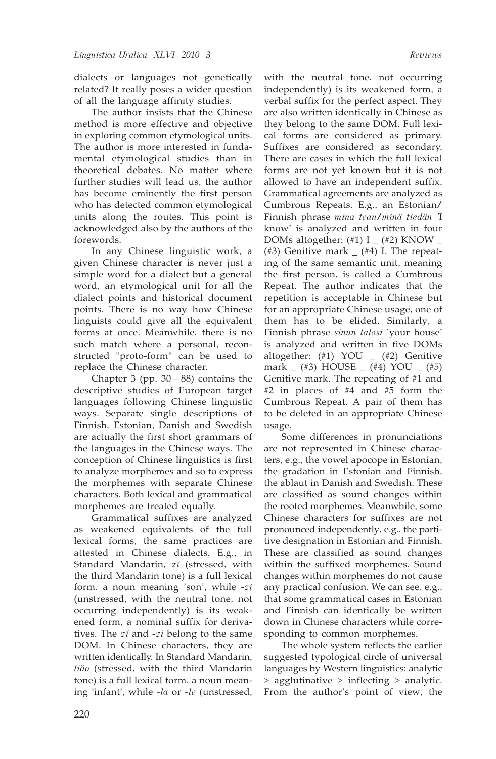dialects or languages not genetically related? It really poses a wider question of all the language affinity studies.

The author insists that the Chinese method is more effective and objective in exploring common etymological units. The author is more interested in fundamental etymological studies than in theoretical debates. No matter where further studies will lead us, the author has become eminently the first person who has detected common etymological units along the routes. This point is acknowledged also by the authors of the forewords.

In any Chinese linguistic work, a given Chinese character is never just a simple word for a dialect but a general word, an etymological unit for all the dialect points and historical document points. There is no way how Chinese linguists could give all the equivalent forms at once. Meanwhile, there is no such match where a personal, reconstructed "proto-form" can be used to replace the Chinese character.

Chapter 3 (pp. 30—88) contains the descriptive studies of European target languages following Chinese linguistic ways. Separate single descriptions of Finnish, Estonian, Danish and Swedish are actually the first short grammars of the languages in the Chinese ways. The conception of Chinese linguistics is first to analyze morphemes and so to express the morphemes with separate Chinese characters. Both lexical and grammatical morphemes are treated equally.

Grammatical suffixes are analyzed as weakened equivalents of the full lexical forms, the same practices are attested in Chinese dialects. E.g., in Standard Mandarin, *zĭ* (stressed, with the third Mandarin tone) is a full lexical form, a noun meaning 'son', while -*zi* (unstressed, with the neutral tone, not occurring independently) is its weakened form, a nominal suffix for derivatives. The *zĭ* and -*zi* belong to the same DOM. In Chinese characters, they are written identically. In Standard Mandarin, *liăo* (stressed, with the third Mandarin tone) is a full lexical form, a noun meaning 'infant', while *-la* or *-le* (unstressed,

with the neutral tone, not occurring independently) is its weakened form, a verbal suffix for the perfect aspect. They are also written identically in Chinese as they belong to the same DOM. Full lexical forms are considered as primary. Suffixes are considered as secondary. There are cases in which the full lexical forms are not yet known but it is not allowed to have an independent suffix. Grammatical agreements are analyzed as Cumbrous Repeats. E.g., an Estonian/ Finnish phrase *mina tean*/*minä tiedän '*I know' is analyzed and written in four DOMs altogether:  $(\#1)$  I  $_$   $(\#2)$  KNOW  $_$ (#3) Genitive mark  $(44)$  I. The repeating of the same semantic unit, meaning the first person, is called a Cumbrous Repeat. The author indicates that the repetition is acceptable in Chinese but for an appropriate Chinese usage, one of them has to be elided. Similarly, a Finnish phrase *sinun talosi* 'your house' is analyzed and written in five DOMs altogether: (#1) YOU \_ (#2) Genitive mark \_ (#3) HOUSE \_ (#4) YOU \_ (#5) Genitive mark. The repeating of #1 and #2 in places of #4 and #5 form the Cumbrous Repeat. A pair of them has to be deleted in an appropriate Chinese usage.

Some differences in pronunciations are not represented in Chinese characters, e.g., the vowel apocope in Estonian, the gradation in Estonian and Finnish, the ablaut in Danish and Swedish. These are classified as sound changes within the rooted morphemes. Meanwhile, some Chinese characters for suffixes are not pronounced independently, e.g., the partitive designation in Estonian and Finnish. These are classified as sound changes within the suffixed morphemes. Sound changes within morphemes do not cause any practical confusion. We can see, e.g., that some grammatical cases in Estonian and Finnish can identically be written down in Chinese characters while corresponding to common morphemes.

The whole system reflects the earlier suggested typological circle of universal languages by Western linguistics: analytic > agglutinative > inflecting > analytic. From the author's point of view, the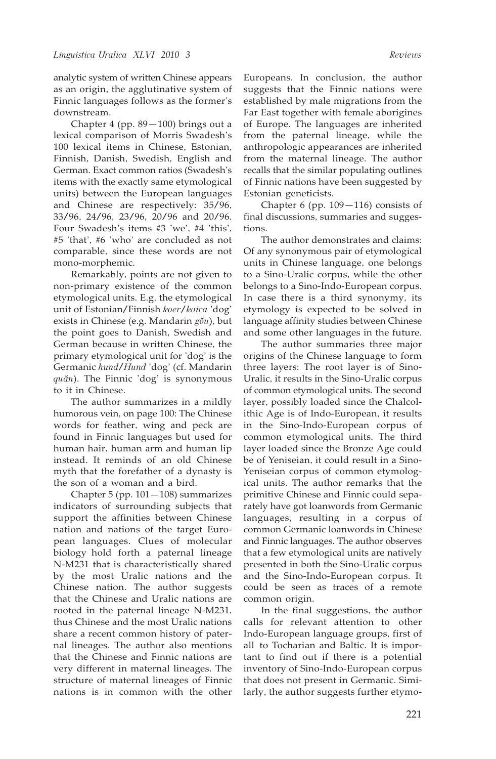analytic system of written Chinese appears as an origin, the agglutinative system of Finnic languages follows as the former's downstream.

Chapter 4 (pp. 89—100) brings out a lexical comparison of Morris Swadesh's 100 lexical items in Chinese, Estonian, Finnish, Danish, Swedish, English and German. Exact common ratios (Swadesh's items with the exactly same etymological units) between the European languages and Chinese are respectively: 35/96, 33/96, 24/96, 23/96, 20/96 and 20/96. Four Swadesh's items #3 'we', #4 'this', #5 'that', #6 'who' are concluded as not comparable, since these words are not mono-morphemic.

Remarkably, points are not given to non-primary existence of the common etymological units. E.g. the etymological unit of Estonian/Finnish *koer*/*koira* 'dog' exists in Chinese (e.g. Mandarin *gŏu*), but the point goes to Danish, Swedish and German because in written Chinese, the primary etymological unit for 'dog' is the Germanic *hund*/*Hund* 'dog' (cf. Mandarin *quăn*). The Finnic 'dog' is synonymous to it in Chinese.

The author summarizes in a mildly humorous vein, on page 100: The Chinese words for feather, wing and peck are found in Finnic languages but used for human hair, human arm and human lip instead. It reminds of an old Chinese myth that the forefather of a dynasty is the son of a woman and a bird.

Chapter 5 (pp. 101—108) summarizes indicators of surrounding subjects that support the affinities between Chinese nation and nations of the target European languages. Clues of molecular biology hold forth a paternal lineage N-M231 that is characteristically shared by the most Uralic nations and the Chinese nation. The author suggests that the Chinese and Uralic nations are rooted in the paternal lineage N-M231, thus Chinese and the most Uralic nations share a recent common history of paternal lineages. The author also mentions that the Chinese and Finnic nations are very different in maternal lineages. The structure of maternal lineages of Finnic nations is in common with the other

Europeans. In conclusion, the author suggests that the Finnic nations were established by male migrations from the Far East together with female aborigines of Europe. The languages are inherited from the paternal lineage, while the anthropologic appearances are inherited from the maternal lineage. The author recalls that the similar populating outlines of Finnic nations have been suggested by Estonian geneticists.

Chapter 6 (pp. 109—116) consists of final discussions, summaries and suggestions.

The author demonstrates and claims: Of any synonymous pair of etymological units in Chinese language, one belongs to a Sino-Uralic corpus, while the other belongs to a Sino-Indo-European corpus. In case there is a third synonymy, its etymology is expected to be solved in language affinity studies between Chinese and some other languages in the future.

The author summaries three major origins of the Chinese language to form three layers: The root layer is of Sino-Uralic, it results in the Sino-Uralic corpus of common etymological units. The second layer, possibly loaded since the Chalcolithic Age is of Indo-European, it results in the Sino-Indo-European corpus of common etymological units. The third layer loaded since the Bronze Age could be of Yeniseian, it could result in a Sino-Yeniseian corpus of common etymological units. The author remarks that the primitive Chinese and Finnic could separately have got loanwords from Germanic languages, resulting in a corpus of common Germanic loanwords in Chinese and Finnic languages. The author observes that a few etymological units are natively presented in both the Sino-Uralic corpus and the Sino-Indo-European corpus. It could be seen as traces of a remote common origin.

In the final suggestions, the author calls for relevant attention to other Indo-European language groups, first of all to Tocharian and Baltic. It is important to find out if there is a potential inventory of Sino-Indo-European corpus that does not present in Germanic. Similarly, the author suggests further etymo